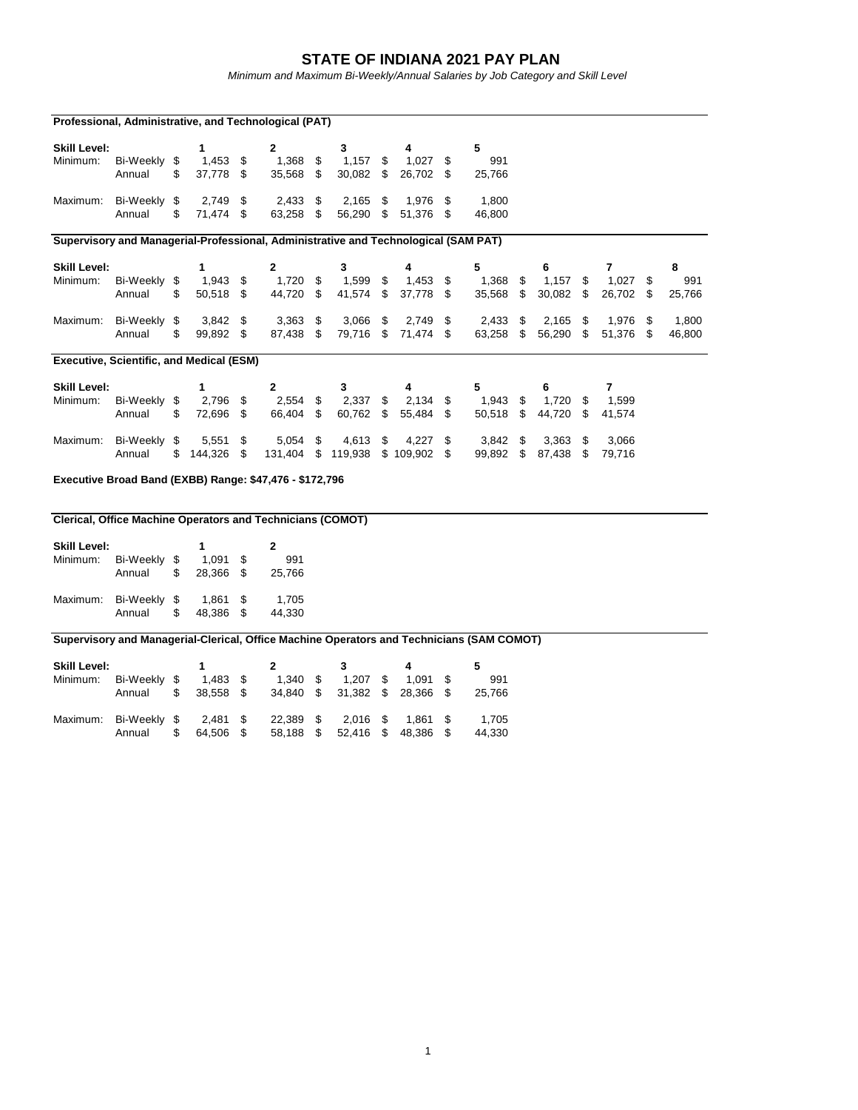## **STATE OF INDIANA 2021 PAY PLAN**

*Minimum and Maximum Bi-Weekly/Annual Salaries by Job Category and Skill Level*

|                                                                                     | Professional, Administrative, and Technological (PAT)                                     |    |            |    |              |    |                                  |    |            |    |            |                  |            |        |
|-------------------------------------------------------------------------------------|-------------------------------------------------------------------------------------------|----|------------|----|--------------|----|----------------------------------|----|------------|----|------------|------------------|------------|--------|
| <b>Skill Level:</b>                                                                 |                                                                                           |    | 1          |    | $\mathbf{2}$ |    | 3                                |    | 4          |    | 5          |                  |            |        |
| Minimum:                                                                            | Bi-Weekly \$                                                                              |    | $1,453$ \$ |    | 1,368        | \$ | $1,157$ \$                       |    | $1,027$ \$ |    | 991        |                  |            |        |
|                                                                                     | Annual                                                                                    | \$ | 37,778 \$  |    | 35,568 \$    |    | $30,082$ \$                      |    | 26,702 \$  |    | 25,766     |                  |            |        |
| Maximum:                                                                            | Bi-Weekly \$                                                                              |    | $2,749$ \$ |    | $2,433$ \$   |    | $2,165$ \$                       |    | 1,976 \$   |    | 1.800      |                  |            |        |
|                                                                                     | Annual                                                                                    | \$ | 71,474 \$  |    | 63,258 \$    |    | 56,290 \$                        |    | 51,376 \$  |    | 46,800     |                  |            |        |
| Supervisory and Managerial-Professional, Administrative and Technological (SAM PAT) |                                                                                           |    |            |    |              |    |                                  |    |            |    |            |                  |            |        |
| <b>Skill Level:</b>                                                                 |                                                                                           |    | 1          |    | $\mathbf{2}$ |    | 3                                |    | 4          |    | 5          | 6                | 7          | 8      |
| Minimum:                                                                            | Bi-Weekly \$                                                                              |    | $1,943$ \$ |    | $1,720$ \$   |    | $1,599$ \$                       |    | $1,453$ \$ |    | 1,368      | \$<br>$1,157$ \$ | $1,027$ \$ | 991    |
|                                                                                     | Annual                                                                                    | \$ | 50,518 \$  |    | 44,720 \$    |    | 41,574                           | \$ | 37,778 \$  |    | 35,568 \$  | 30,082 \$        | 26,702 \$  | 25,766 |
| Maximum:                                                                            | Bi-Weekly \$                                                                              |    | $3,842$ \$ |    | $3,363$ \$   |    | $3,066$ \$                       |    | $2,749$ \$ |    | $2,433$ \$ | $2,165$ \$       | 1,976 \$   | 1,800  |
|                                                                                     | Annual                                                                                    | \$ | 99,892 \$  |    | 87,438 \$    |    | 79,716 \$                        |    | 71,474 \$  |    | 63,258 \$  | 56,290 \$        | 51,376 \$  | 46,800 |
|                                                                                     | <b>Executive, Scientific, and Medical (ESM)</b>                                           |    |            |    |              |    |                                  |    |            |    |            |                  |            |        |
| <b>Skill Level:</b>                                                                 |                                                                                           |    | 1          |    | $\mathbf{2}$ |    | 3                                |    | 4          |    | 5          | 6                | 7          |        |
| Minimum:                                                                            | Bi-Weekly \$                                                                              |    | 2,796      | \$ | $2,554$ \$   |    | $2,337$ \$                       |    | 2,134      | \$ | $1,943$ \$ | $1,720$ \$       | 1,599      |        |
|                                                                                     | Annual                                                                                    | \$ | 72,696 \$  |    | 66,404 \$    |    | 60,762 \$                        |    | 55.484 \$  |    | 50,518 \$  | 44.720 \$        | 41,574     |        |
| Maximum:                                                                            | Bi-Weekly \$                                                                              |    | $5,551$ \$ |    | 5,054 \$     |    | 4,613 \$                         |    | $4,227$ \$ |    | $3,842$ \$ | $3,363$ \$       | 3,066      |        |
|                                                                                     | Annual                                                                                    | \$ | 144,326 \$ |    |              |    | 131,404 \$ 119,938 \$ 109,902 \$ |    |            |    | 99,892 \$  | 87,438 \$        | 79,716     |        |
|                                                                                     | Executive Broad Band (EXBB) Range: \$47,476 - \$172,796                                   |    |            |    |              |    |                                  |    |            |    |            |                  |            |        |
|                                                                                     |                                                                                           |    |            |    |              |    |                                  |    |            |    |            |                  |            |        |
|                                                                                     | <b>Clerical, Office Machine Operators and Technicians (COMOT)</b>                         |    |            |    |              |    |                                  |    |            |    |            |                  |            |        |
| <b>Skill Level:</b>                                                                 |                                                                                           |    | 1          |    | $\mathbf{2}$ |    |                                  |    |            |    |            |                  |            |        |
| Minimum:                                                                            | Bi-Weekly \$                                                                              |    | $1,091$ \$ |    | 991          |    |                                  |    |            |    |            |                  |            |        |
|                                                                                     | Annual                                                                                    | \$ | 28,366 \$  |    | 25,766       |    |                                  |    |            |    |            |                  |            |        |
| Maximum:                                                                            | Bi-Weekly \$                                                                              |    | 1,861      | \$ | 1,705        |    |                                  |    |            |    |            |                  |            |        |
|                                                                                     | Annual                                                                                    | \$ | 48,386 \$  |    | 44,330       |    |                                  |    |            |    |            |                  |            |        |
|                                                                                     | Supervisory and Managerial-Clerical, Office Machine Operators and Technicians (SAM COMOT) |    |            |    |              |    |                                  |    |            |    |            |                  |            |        |

| <b>Skill Level:</b>   |              |   |            |                               |                             |      |            |        |
|-----------------------|--------------|---|------------|-------------------------------|-----------------------------|------|------------|--------|
| Minimum:              | Bi-Weekly \$ |   | $1.483$ \$ | $1.340$ \$                    | 1.207                       | - \$ | $1.091$ \$ | 991    |
|                       | Annual       |   | 38.558 \$  | 34.840 \$ 31.382 \$ 28.366 \$ |                             |      |            | 25.766 |
| Maximum: Bi-Weekly \$ |              |   | 2.481 \$   |                               | 22,389 \$ 2,016 \$ 1,861 \$ |      |            | 1.705  |
|                       | Annual       | S | 64.506 \$  | 58.188 \$                     | 52,416 \$                   |      | 48.386 \$  | 44.330 |